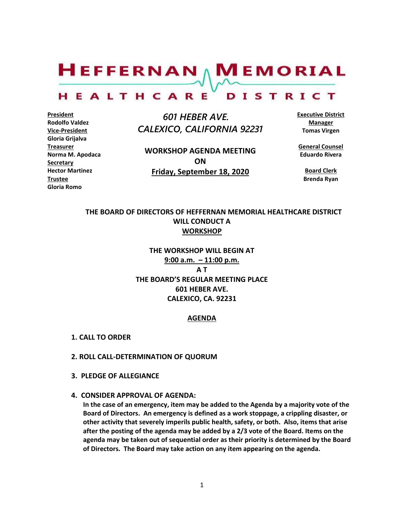$H$ EFFERNAN  $\wedge$  M EMORIAL HEALTHCARE DISTRICT

**President Rodolfo Valdez Vice-President Gloria Grijalva Treasurer Norma M. Apodaca Secretary Hector Martinez Trustee Gloria Romo**

 *601 HEBER AVE. CALEXICO, CALIFORNIA 92231*

**WORKSHOP AGENDA MEETING ON Friday, September 18, 2020**

**Executive District Manager Tomas Virgen**

**General Counsel Eduardo Rivera**

**Board Clerk Brenda Ryan**

# **THE BOARD OF DIRECTORS OF HEFFERNAN MEMORIAL HEALTHCARE DISTRICT WILL CONDUCT A WORKSHOP**

**THE WORKSHOP WILL BEGIN AT 9:00 a.m. – 11:00 p.m. A T THE BOARD'S REGULAR MEETING PLACE 601 HEBER AVE. CALEXICO, CA. 92231**

#### **AGENDA**

- **1. CALL TO ORDER**
- **2. ROLL CALL-DETERMINATION OF QUORUM**
- **3. PLEDGE OF ALLEGIANCE**
- **4. CONSIDER APPROVAL OF AGENDA:**

**In the case of an emergency, item may be added to the Agenda by a majority vote of the Board of Directors. An emergency is defined as a work stoppage, a crippling disaster, or other activity that severely imperils public health, safety, or both. Also, items that arise after the posting of the agenda may be added by a 2/3 vote of the Board. Items on the agenda may be taken out of sequential order as their priority is determined by the Board of Directors. The Board may take action on any item appearing on the agenda.**